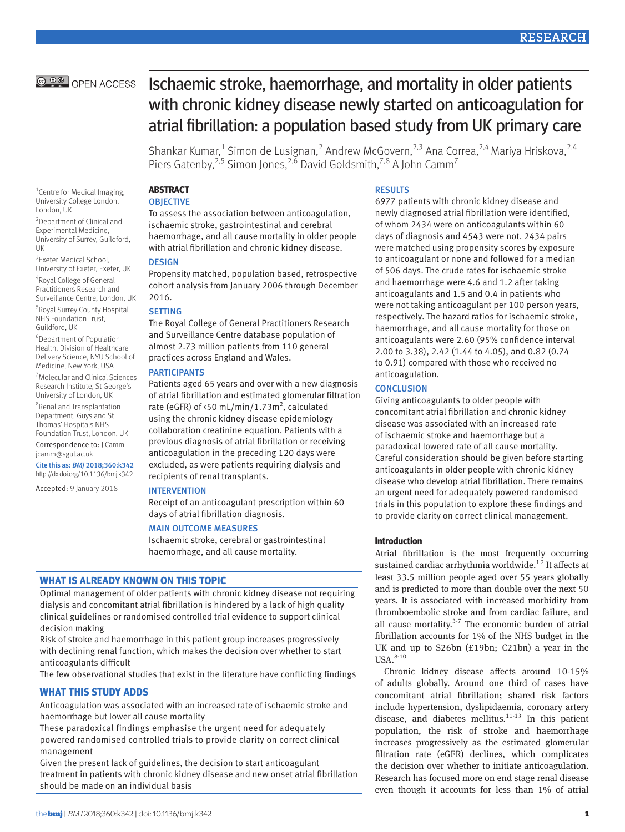# **RESEARCH**

# **@ 0 @** OPEN ACCESS

# Ischaemic stroke, haemorrhage, and mortality in older patients with chronic kidney disease newly started on anticoagulation for atrial fibrillation: a population based study from UK primary care

Shankar Kumar,<sup>1</sup> Simon de Lusignan,<sup>2</sup> Andrew McGovern,<sup>2,3</sup> Ana Correa,<sup>2,4</sup> Mariya Hriskova,<sup>2,4</sup> Piers Gatenby,<sup>2,5</sup> Simon Jones,<sup>2,6</sup> David Goldsmith,<sup>7,8</sup> A John Camm<sup>7</sup>

<sup>1</sup> Centre for Medical Imaging, University College London, London, UK

2 Department of Clinical and Experimental Medicine, University of Surrey, Guildford, UK

<sup>3</sup> Exeter Medical School, University of Exeter, Exeter, UK 4 Royal College of General Practitioners Research and Surveillance Centre, London, UK

5 Royal Surrey County Hospital NHS Foundation Trust, Guildford, UK

6 Department of Population Health, Division of Healthcare Delivery Science, NYU School of Medicine, New York, USA

7 Molecular and Clinical Sciences Research Institute, St George's University of London, UK

8 Renal and Transplantation Department, Guys and St Thomas' Hospitals NHS Foundation Trust, London, UK

Correspondence to: J Camm jcamm@sgul.ac.uk

Cite this as: *BMJ* 2018;360:k342 http://dx.doi.org/10.1136/bmj.k342

Accepted: 9 January 2018

**OBJECTIVE** To assess the association between anticoagulation, ischaemic stroke, gastrointestinal and cerebral haemorrhage, and all cause mortality in older people with atrial fibrillation and chronic kidney disease.

#### **DESIGN**

**ABSTRACT**

Propensity matched, population based, retrospective cohort analysis from January 2006 through December 2016.

# SETTING

The Royal College of General Practitioners Research and Surveillance Centre database population of almost 2.73 million patients from 110 general practices across England and Wales.

#### **PARTICIPANTS**

Patients aged 65 years and over with a new diagnosis of atrial fibrillation and estimated glomerular filtration rate (eGFR) of <50 mL/min/1.73m<sup>2</sup>, calculated using the chronic kidney disease epidemiology collaboration creatinine equation. Patients with a previous diagnosis of atrial fibrillation or receiving anticoagulation in the preceding 120 days were excluded, as were patients requiring dialysis and recipients of renal transplants.

#### INTERVENTION

Receipt of an anticoagulant prescription within 60 days of atrial fibrillation diagnosis.

#### MAIN OUTCOME MEASURES

Ischaemic stroke, cerebral or gastrointestinal haemorrhage, and all cause mortality.

# **What is already known on this topic**

Optimal management of older patients with chronic kidney disease not requiring dialysis and concomitant atrial fibrillation is hindered by a lack of high quality clinical guidelines or randomised controlled trial evidence to support clinical decision making

Risk of stroke and haemorrhage in this patient group increases progressively with declining renal function, which makes the decision over whether to start anticoagulants difficult

The few observational studies that exist in the literature have conflicting findings

# **What this study adds**

Anticoagulation was associated with an increased rate of ischaemic stroke and haemorrhage but lower all cause mortality

These paradoxical findings emphasise the urgent need for adequately powered randomised controlled trials to provide clarity on correct clinical management

Given the present lack of guidelines, the decision to start anticoagulant treatment in patients with chronic kidney disease and new onset atrial fibrillation should be made on an individual basis

#### RESULTS

6977 patients with chronic kidney disease and newly diagnosed atrial fibrillation were identified, of whom 2434 were on anticoagulants within 60 days of diagnosis and 4543 were not. 2434 pairs were matched using propensity scores by exposure to anticoagulant or none and followed for a median of 506 days. The crude rates for ischaemic stroke and haemorrhage were 4.6 and 1.2 after taking anticoagulants and 1.5 and 0.4 in patients who were not taking anticoagulant per 100 person years, respectively. The hazard ratios for ischaemic stroke, haemorrhage, and all cause mortality for those on anticoagulants were 2.60 (95% confidence interval 2.00 to 3.38), 2.42 (1.44 to 4.05), and 0.82 (0.74 to 0.91) compared with those who received no anticoagulation.

## **CONCLUSION**

Giving anticoagulants to older people with concomitant atrial fibrillation and chronic kidney disease was associated with an increased rate of ischaemic stroke and haemorrhage but a paradoxical lowered rate of all cause mortality. Careful consideration should be given before starting anticoagulants in older people with chronic kidney disease who develop atrial fibrillation. There remains an urgent need for adequately powered randomised trials in this population to explore these findings and to provide clarity on correct clinical management.

# **Introduction**

Atrial fibrillation is the most frequently occurring sustained cardiac arrhythmia worldwide.<sup>12</sup> It affects at least 33.5 million people aged over 55 years globally and is predicted to more than double over the next 50 years. It is associated with increased morbidity from thromboembolic stroke and from cardiac failure, and all cause mortality. $3-7$  The economic burden of atrial fibrillation accounts for 1% of the NHS budget in the UK and up to \$26bn (£19bn; €21bn) a year in the  $USA.<sup>8-10</sup>$ 

Chronic kidney disease affects around 10-15% of adults globally. Around one third of cases have concomitant atrial fibrillation; shared risk factors include hypertension, dyslipidaemia, coronary artery disease, and diabetes mellitus. $11-13$  In this patient population, the risk of stroke and haemorrhage increases progressively as the estimated glomerular filtration rate (eGFR) declines, which complicates the decision over whether to initiate anticoagulation. Research has focused more on end stage renal disease even though it accounts for less than 1% of atrial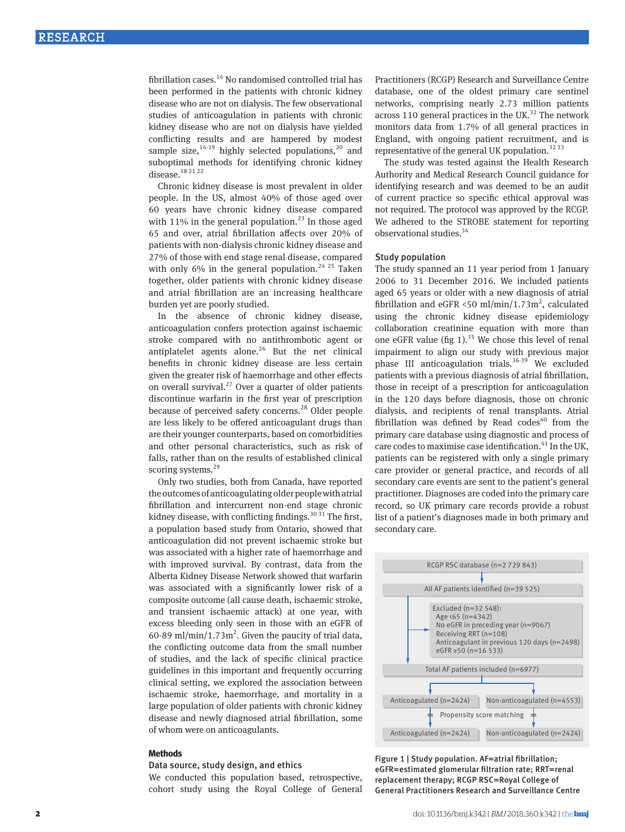fibrillation cases.<sup>14</sup> No randomised controlled trial has been performed in the patients with chronic kidney disease who are not on dialysis. The few observational studies of anticoagulation in patients with chronic kidney disease who are not on dialysis have yielded conflicting results and are hampered by modest sample size,  $14-19$  highly selected populations,  $20$  and suboptimal methods for identifying chronic kidney disease.18 21 22

Chronic kidney disease is most prevalent in older people. In the US, almost 40% of those aged over 60 years have chronic kidney disease compared with 11% in the general population.<sup>23</sup> In those aged 65 and over, atrial fibrillation affects over 20% of patients with non-dialysis chronic kidney disease and 27% of those with end stage renal disease, compared with only 6% in the general population.<sup>24 25</sup> Taken together, older patients with chronic kidney disease and atrial fibrillation are an increasing healthcare burden yet are poorly studied.

In the absence of chronic kidney disease, anticoagulation confers protection against ischaemic stroke compared with no antithrombotic agent or antiplatelet agents alone. $26$  But the net clinical benefits in chronic kidney disease are less certain given the greater risk of haemorrhage and other effects on overall survival.<sup>27</sup> Over a quarter of older patients discontinue warfarin in the first year of prescription because of perceived safety concerns.<sup>28</sup> Older people are less likely to be offered anticoagulant drugs than are their younger counterparts, based on comorbidities and other personal characteristics, such as risk of falls, rather than on the results of established clinical scoring systems.<sup>29</sup>

Only two studies, both from Canada, have reported the outcomes of anticoagulating older people with atrial fibrillation and intercurrent non-end stage chronic kidney disease, with conflicting findings.<sup>30 31</sup> The first, a population based study from Ontario, showed that anticoagulation did not prevent ischaemic stroke but was associated with a higher rate of haemorrhage and with improved survival. By contrast, data from the Alberta Kidney Disease Network showed that warfarin was associated with a significantly lower risk of a composite outcome (all cause death, ischaemic stroke, and transient ischaemic attack) at one year, with excess bleeding only seen in those with an eGFR of 60-89 ml/min/1.73 $m^2$ . Given the paucity of trial data, the conflicting outcome data from the small number of studies, and the lack of specific clinical practice guidelines in this important and frequently occurring clinical setting, we explored the association between ischaemic stroke, haemorrhage, and mortality in a large population of older patients with chronic kidney disease and newly diagnosed atrial fibrillation, some of whom were on anticoagulants.

#### **Methods**

#### Data source, study design, and ethics

We conducted this population based, retrospective, cohort study using the Royal College of General Practitioners (RCGP) Research and Surveillance Centre database, one of the oldest primary care sentinel networks, comprising nearly 2.73 million patients across 110 general practices in the UK. $32$  The network monitors data from 1.7% of all general practices in England, with ongoing patient recruitment, and is representative of the general UK population. $3233$ 

The study was tested against the Health Research Authority and Medical Research Council guidance for identifying research and was deemed to be an audit of current practice so specific ethical approval was not required. The protocol was approved by the RCGP. We adhered to the STROBE statement for reporting observational studies.<sup>34</sup>

#### Study population

The study spanned an 11 year period from 1 January 2006 to 31 December 2016. We included patients aged 65 years or older with a new diagnosis of atrial fibrillation and eGFR <50 ml/min/1.73m<sup>2</sup>, calculated using the chronic kidney disease epidemiology collaboration creatinine equation with more than one eGFR value (fig 1).<sup>35</sup> We chose this level of renal impairment to align our study with previous major phase III anticoagulation trials.<sup>36-39</sup> We excluded patients with a previous diagnosis of atrial fibrillation, those in receipt of a prescription for anticoagulation in the 120 days before diagnosis, those on chronic dialysis, and recipients of renal transplants. Atrial fibrillation was defined by Read codes $40$  from the primary care database using diagnostic and process of care codes to maximise case identification. $41$  In the UK, patients can be registered with only a single primary care provider or general practice, and records of all secondary care events are sent to the patient's general practitioner. Diagnoses are coded into the primary care record, so UK primary care records provide a robust list of a patient's diagnoses made in both primary and secondary care.



Figure 1 | Study population. AF=atrial fibrillation; eGFR=estimated glomerular filtration rate; RRT=renal replacement therapy; RCGP RSC=Royal College of General Practitioners Research and Surveillance Centre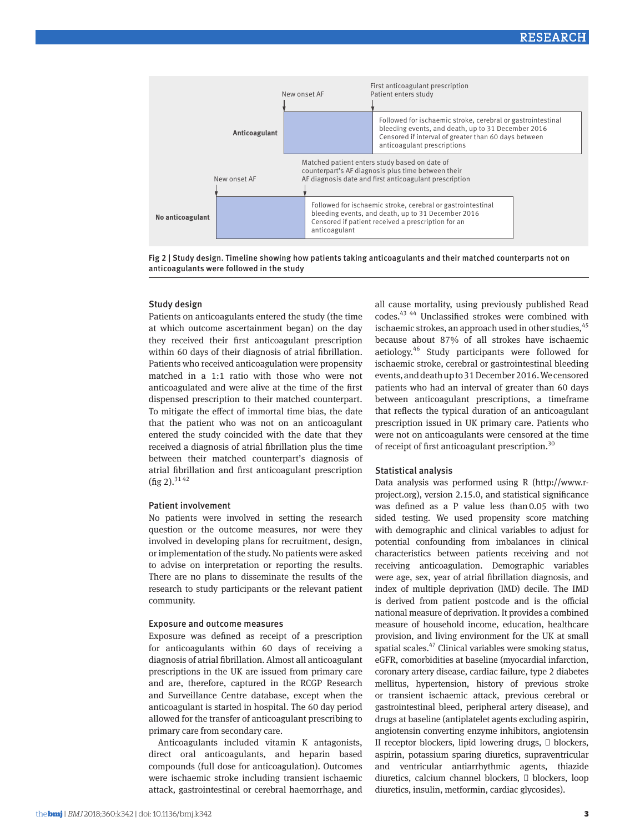

Fig 2 | Study design. Timeline showing how patients taking anticoagulants and their matched counterparts not on anticoagulants were followed in the study

## Study design

Patients on anticoagulants entered the study (the time at which outcome ascertainment began) on the day they received their first anticoagulant prescription within 60 days of their diagnosis of atrial fibrillation. Patients who received anticoagulation were propensity matched in a 1:1 ratio with those who were not anticoagulated and were alive at the time of the first dispensed prescription to their matched counterpart. To mitigate the effect of immortal time bias, the date that the patient who was not on an anticoagulant entered the study coincided with the date that they received a diagnosis of atrial fibrillation plus the time between their matched counterpart's diagnosis of atrial fibrillation and first anticoagulant prescription (fig 2).<sup>3142</sup>

#### Patient involvement

No patients were involved in setting the research question or the outcome measures, nor were they involved in developing plans for recruitment, design, or implementation of the study. No patients were asked to advise on interpretation or reporting the results. There are no plans to disseminate the results of the research to study participants or the relevant patient community.

# Exposure and outcome measures

Exposure was defined as receipt of a prescription for anticoagulants within 60 days of receiving a diagnosis of atrial fibrillation. Almost all anticoagulant prescriptions in the UK are issued from primary care and are, therefore, captured in the RCGP Research and Surveillance Centre database, except when the anticoagulant is started in hospital. The 60 day period allowed for the transfer of anticoagulant prescribing to primary care from secondary care.

Anticoagulants included vitamin K antagonists, direct oral anticoagulants, and heparin based compounds (full dose for anticoagulation). Outcomes were ischaemic stroke including transient ischaemic attack, gastrointestinal or cerebral haemorrhage, and

all cause mortality, using previously published Read codes.43 44 Unclassified strokes were combined with ischaemic strokes, an approach used in other studies, <sup>45</sup> because about 87% of all strokes have ischaemic aetiology.46 Study participants were followed for ischaemic stroke, cerebral or gastrointestinal bleeding events, and death up to 31 December 2016. We censored patients who had an interval of greater than 60 days between anticoagulant prescriptions, a timeframe that reflects the typical duration of an anticoagulant prescription issued in UK primary care. Patients who were not on anticoagulants were censored at the time of receipt of first anticoagulant prescription.<sup>30</sup>

# Statistical analysis

Data analysis was performed using R (http://www.rproject.org), version 2.15.0, and statistical significance was defined as a P value less than0.05 with two sided testing. We used propensity score matching with demographic and clinical variables to adjust for potential confounding from imbalances in clinical characteristics between patients receiving and not receiving anticoagulation. Demographic variables were age, sex, year of atrial fibrillation diagnosis, and index of multiple deprivation (IMD) decile. The IMD is derived from patient postcode and is the official national measure of deprivation. It provides a combined measure of household income, education, healthcare provision, and living environment for the UK at small spatial scales.47 Clinical variables were smoking status, eGFR, comorbidities at baseline (myocardial infarction, coronary artery disease, cardiac failure, type 2 diabetes mellitus, hypertension, history of previous stroke or transient ischaemic attack, previous cerebral or gastrointestinal bleed, peripheral artery disease), and drugs at baseline (antiplatelet agents excluding aspirin, angiotensin converting enzyme inhibitors, angiotensin II receptor blockers, lipid lowering drugs, blockers, aspirin, potassium sparing diuretics, supraventricular and ventricular antiarrhythmic agents, thiazide diuretics, calcium channel blockers, blockers, loop diuretics, insulin, metformin, cardiac glycosides).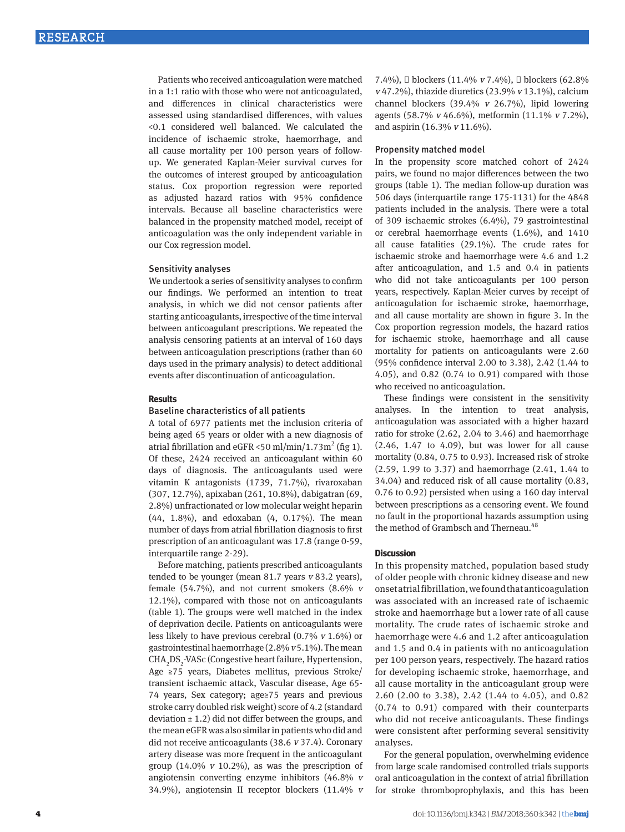Patients who received anticoagulation were matched in a 1:1 ratio with those who were not anticoagulated, and differences in clinical characteristics were assessed using standardised differences, with values <0.1 considered well balanced. We calculated the incidence of ischaemic stroke, haemorrhage, and all cause mortality per 100 person years of followup. We generated Kaplan-Meier survival curves for the outcomes of interest grouped by anticoagulation status. Cox proportion regression were reported as adjusted hazard ratios with 95% confidence intervals. Because all baseline characteristics were balanced in the propensity matched model, receipt of anticoagulation was the only independent variable in our Cox regression model.

#### Sensitivity analyses

We undertook a series of sensitivity analyses to confirm our findings. We performed an intention to treat analysis, in which we did not censor patients after starting anticoagulants, irrespective of the time interval between anticoagulant prescriptions. We repeated the analysis censoring patients at an interval of 160 days between anticoagulation prescriptions (rather than 60 days used in the primary analysis) to detect additional events after discontinuation of anticoagulation.

#### **Results**

#### Baseline characteristics of all patients

A total of 6977 patients met the inclusion criteria of being aged 65 years or older with a new diagnosis of atrial fibrillation and  $eGFR < 50$  ml/min/1.73m<sup>2</sup> (fig 1). Of these, 2424 received an anticoagulant within 60 days of diagnosis. The anticoagulants used were vitamin K antagonists (1739, 71.7%), rivaroxaban (307, 12.7%), apixaban (261, 10.8%), dabigatran (69, 2.8%) unfractionated or low molecular weight heparin (44, 1.8%), and edoxaban (4, 0.17%). The mean number of days from atrial fibrillation diagnosis to first prescription of an anticoagulant was 17.8 (range 0-59, interquartile range 2-29).

Before matching, patients prescribed anticoagulants tended to be younger (mean 81.7 years  $v$  83.2 years), female (54.7%), and not current smokers (8.6%  $v$ 12.1%), compared with those not on anticoagulants (table 1). The groups were well matched in the index of deprivation decile. Patients on anticoagulants were less likely to have previous cerebral (0.7% v 1.6%) or gastrointestinal haemorrhage  $(2.8\% v 5.1\%)$ . The mean CHA<sub>2</sub>DS<sub>2</sub>-VASc (Congestive heart failure, Hypertension, Age ≥75 years, Diabetes mellitus, previous Stroke/ transient ischaemic attack, Vascular disease, Age 65- 74 years, Sex category; age≥75 years and previous stroke carry doubled risk weight) score of 4.2 (standard deviation  $\pm$  1.2) did not differ between the groups, and the mean eGFR was also similar in patients who did and did not receive anticoagulants (38.6 v 37.4). Coronary artery disease was more frequent in the anticoagulant group (14.0%  $v$  10.2%), as was the prescription of angiotensin converting enzyme inhibitors (46.8% <sup>v</sup> 34.9%), angiotensin II receptor blockers (11.4% <sup>v</sup> 7.4%), blockers (11.4% v 7.4%), blockers (62.8%  $v$  47.2%), thiazide diuretics (23.9%  $v$  13.1%), calcium channel blockers (39.4% v 26.7%), lipid lowering agents (58.7% v 46.6%), metformin (11.1% v 7.2%), and aspirin (16.3% v 11.6%).

#### Propensity matched model

In the propensity score matched cohort of 2424 pairs, we found no major differences between the two groups (table 1). The median follow-up duration was 506 days (interquartile range 175-1131) for the 4848 patients included in the analysis. There were a total of 309 ischaemic strokes (6.4%), 79 gastrointestinal or cerebral haemorrhage events (1.6%), and 1410 all cause fatalities (29.1%). The crude rates for ischaemic stroke and haemorrhage were 4.6 and 1.2 after anticoagulation, and 1.5 and 0.4 in patients who did not take anticoagulants per 100 person years, respectively. Kaplan-Meier curves by receipt of anticoagulation for ischaemic stroke, haemorrhage, and all cause mortality are shown in figure 3. In the Cox proportion regression models, the hazard ratios for ischaemic stroke, haemorrhage and all cause mortality for patients on anticoagulants were 2.60 (95% confidence interval 2.00 to 3.38), 2.42 (1.44 to 4.05), and 0.82 (0.74 to 0.91) compared with those who received no anticoagulation.

These findings were consistent in the sensitivity analyses. In the intention to treat analysis, anticoagulation was associated with a higher hazard ratio for stroke (2.62, 2.04 to 3.46) and haemorrhage (2.46, 1.47 to 4.09), but was lower for all cause mortality (0.84, 0.75 to 0.93). Increased risk of stroke (2.59, 1.99 to 3.37) and haemorrhage (2.41, 1.44 to 34.04) and reduced risk of all cause mortality (0.83, 0.76 to 0.92) persisted when using a 160 day interval between prescriptions as a censoring event. We found no fault in the proportional hazards assumption using the method of Grambsch and Therneau.<sup>48</sup>

#### **Discussion**

In this propensity matched, population based study of older people with chronic kidney disease and new onset atrial fibrillation, we found that anticoagulation was associated with an increased rate of ischaemic stroke and haemorrhage but a lower rate of all cause mortality. The crude rates of ischaemic stroke and haemorrhage were 4.6 and 1.2 after anticoagulation and 1.5 and 0.4 in patients with no anticoagulation per 100 person years, respectively. The hazard ratios for developing ischaemic stroke, haemorrhage, and all cause mortality in the anticoagulant group were 2.60 (2.00 to 3.38), 2.42 (1.44 to 4.05), and 0.82 (0.74 to 0.91) compared with their counterparts who did not receive anticoagulants. These findings were consistent after performing several sensitivity analyses.

For the general population, overwhelming evidence from large scale randomised controlled trials supports oral anticoagulation in the context of atrial fibrillation for stroke thromboprophylaxis, and this has been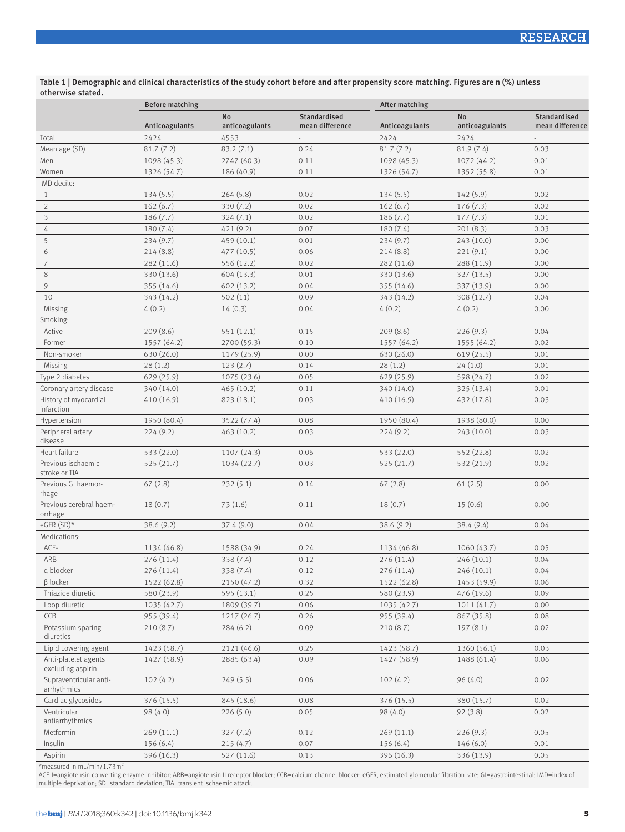Table 1 | Demographic and clinical characteristics of the study cohort before and after propensity score matching. Figures are n (%) unless otherwise stated.

|                                           | <b>Before matching</b> |                             |                                 | After matching |                             |                                        |  |
|-------------------------------------------|------------------------|-----------------------------|---------------------------------|----------------|-----------------------------|----------------------------------------|--|
|                                           | Anticoagulants         | <b>No</b><br>anticoagulants | Standardised<br>mean difference | Anticoagulants | <b>No</b><br>anticoagulants | <b>Standardised</b><br>mean difference |  |
| Total                                     | 2424                   | 4553                        |                                 | 2424           | 2424                        |                                        |  |
| Mean age (SD)                             | 81.7(7.2)              | 83.2(7.1)                   | 0.24                            | 81.7(7.2)      | 81.9(7.4)                   | 0.03                                   |  |
| Men                                       | 1098 (45.3)            | 2747 (60.3)                 | 0.11                            | 1098 (45.3)    | 1072 (44.2)                 | 0.01                                   |  |
| Women                                     | 1326 (54.7)            | 186 (40.9)                  | 0.11                            | 1326 (54.7)    | 1352 (55.8)                 | 0.01                                   |  |
| IMD decile:                               |                        |                             |                                 |                |                             |                                        |  |
| $\mathbf{1}$                              | 134 (5.5)              | 264(5.8)                    | 0.02                            | 134(5.5)       | 142(5.9)                    | 0.02                                   |  |
| $\overline{2}$                            | 162(6.7)               | 330 (7.2)                   | 0.02                            | 162(6.7)       | 176(7.3)                    | 0.02                                   |  |
| 3                                         | 186(7.7)               | 324(7.1)                    | 0.02                            | 186(7.7)       | 177(7.3)                    | 0.01                                   |  |
| 4                                         | 180(7.4)               | 421 (9.2)                   | 0.07                            | 180(7.4)       | 201(8.3)                    | 0.03                                   |  |
| 5                                         | 234(9.7)               | 459 (10.1)                  | 0.01                            | 234(9.7)       | 243 (10.0)                  | 0.00                                   |  |
| 6                                         | 214(8.8)               | 477 (10.5)                  | 0.06                            | 214(8.8)       | 221(9.1)                    | 0.00                                   |  |
| 7                                         | 282 (11.6)             | 556 (12.2)                  | 0.02                            | 282 (11.6)     | 288 (11.9)                  | 0.00                                   |  |
| $\,8\,$                                   | 330 (13.6)             | 604 (13.3)                  | 0.01                            | 330 (13.6)     | 327 (13.5)                  | 0.00                                   |  |
| 9                                         | 355 (14.6)             | 602 (13.2)                  | 0.04                            | 355 (14.6)     | 337 (13.9)                  | 0.00                                   |  |
| 10                                        | 343 (14.2)             | 502(11)                     | 0.09                            | 343 (14.2)     | 308(12.7)                   | 0.04                                   |  |
| Missing                                   | 4(0.2)                 | 14(0.3)                     | 0.04                            | 4(0.2)         | 4(0.2)                      | 0.00                                   |  |
| Smoking:                                  |                        |                             |                                 |                |                             |                                        |  |
| Active                                    | 209(8.6)               | 551 (12.1)                  | 0.15                            | 209(8.6)       | 226(9.3)                    | 0.04                                   |  |
| Former                                    | 1557 (64.2)            | 2700 (59.3)                 | 0.10                            | 1557 (64.2)    | 1555 (64.2)                 | 0.02                                   |  |
| Non-smoker                                | 630 (26.0)             | 1179 (25.9)                 | 0.00                            | 630 (26.0)     | 619(25.5)                   | 0.01                                   |  |
| Missing                                   | 28(1.2)                | 123(2.7)                    | 0.14                            | 28(1.2)        | 24(1.0)                     | 0.01                                   |  |
| Type 2 diabetes                           | 629 (25.9)             | 1075 (23.6)                 | 0.05                            | 629 (25.9)     | 598 (24.7)                  | 0.02                                   |  |
| Coronary artery disease                   | 340 (14.0)             | 465(10.2)                   | 0.11                            | 340 (14.0)     | 325(13.4)                   | 0.01                                   |  |
| History of myocardial                     | 410 (16.9)             | 823 (18.1)                  | 0.03                            | 410 (16.9)     | 432 (17.8)                  | 0.03                                   |  |
| infarction                                |                        |                             |                                 |                |                             |                                        |  |
| Hypertension                              | 1950 (80.4)            | 3522 (77.4)                 | 0.08                            | 1950 (80.4)    | 1938 (80.0)                 | 0.00                                   |  |
| Peripheral artery<br>disease              | 224(9.2)               | 463 (10.2)                  | 0.03                            | 224(9.2)       | 243(10.0)                   | 0.03                                   |  |
| Heart failure                             | 533 (22.0)             | 1107 (24.3)                 | 0.06                            | 533 (22.0)     | 552 (22.8)                  | 0.02                                   |  |
| Previous ischaemic<br>stroke or TIA       | 525(21.7)              | 1034 (22.7)                 | 0.03                            | 525(21.7)      | 532 (21.9)                  | 0.02                                   |  |
| Previous GI haemor-<br>rhage              | 67(2.8)                | 232(5.1)                    | 0.14                            | 67(2.8)        | 61(2.5)                     | 0.00                                   |  |
| Previous cerebral haem-<br>orrhage        | 18(0.7)                | 73(1.6)                     | 0.11                            | 18(0.7)        | 15(0.6)                     | 0.00                                   |  |
| eGFR $(SD)^*$                             | 38.6(9.2)              | 37.4 (9.0)                  | 0.04                            | 38.6(9.2)      | 38.4(9.4)                   | 0.04                                   |  |
| Medications:                              |                        |                             |                                 |                |                             |                                        |  |
| ACE-I                                     | 1134 (46.8)            | 1588 (34.9)                 | 0.24                            | 1134 (46.8)    | 1060 (43.7)                 | 0.05                                   |  |
| ARB                                       | 276 (11.4)             | 338 (7.4)                   | 0.12                            | 276 (11.4)     | 246 (10.1)                  | 0.04                                   |  |
| a blocker                                 | 276 (11.4)             | 338 (7.4)                   | 0.12                            | 276 (11.4)     | 246 (10.1)                  | 0.04                                   |  |
| β locker                                  | 1522 (62.8)            | 2150 (47.2)                 | 0.32                            | 1522 (62.8)    | 1453 (59.9)                 | 0.06                                   |  |
| Thiazide diuretic                         | 580 (23.9)             | 595 (13.1)                  | 0.25                            | 580 (23.9)     | 476 (19.6)                  | 0.09                                   |  |
| Loop diuretic                             | 1035 (42.7)            | 1809 (39.7)                 | 0.06                            | 1035(42.7)     | 1011(41.7)                  | 0.00                                   |  |
| CCB                                       | 955 (39.4)             | 1217 (26.7)                 | 0.26                            | 955 (39.4)     | 867 (35.8)                  | 0.08                                   |  |
| Potassium sparing<br>diuretics            | 210(8.7)               | 284(6.2)                    | 0.09                            | 210(8.7)       | 197(8.1)                    | 0.02                                   |  |
| Lipid Lowering agent                      | 1423 (58.7)            | 2121 (46.6)                 | 0.25                            | 1423 (58.7)    | 1360 (56.1)                 | 0.03                                   |  |
| Anti-platelet agents<br>excluding aspirin | 1427 (58.9)            | 2885 (63.4)                 | 0.09                            | 1427 (58.9)    | 1488 (61.4)                 | 0.06                                   |  |
| Supraventricular anti-<br>arrhythmics     | 102(4.2)               | 249(5.5)                    | 0.06                            | 102(4.2)       | 96(4.0)                     | 0.02                                   |  |
| Cardiac glycosides                        | 376 (15.5)             | 845 (18.6)                  | 0.08                            | 376 (15.5)     | 380 (15.7)                  | 0.02                                   |  |
| Ventricular<br>antiarrhythmics            | 98 (4.0)               | 226(5.0)                    | 0.05                            | 98(4.0)        | 92(3.8)                     | 0.02                                   |  |
| Metformin                                 | 269(11.1)              | 327 (7.2)                   | 0.12                            | 269(11.1)      | 226(9.3)                    | 0.05                                   |  |
| Insulin                                   | 156(6.4)               | 215 (4.7)                   | 0.07                            | 156(6.4)       | 146(6.0)                    | 0.01                                   |  |
| Aspirin                                   | 396 (16.3)             | 527 (11.6)                  | 0.13                            | 396 (16.3)     | 336 (13.9)                  | 0.05                                   |  |
|                                           |                        |                             |                                 |                |                             |                                        |  |

\*measured in mL/min/1.73m<sup>2</sup><br>ACE-l=angiotensin converting enzyme inhibitor; ARB=angiotensin II receptor blocker; CCB=calcium channel blocker; eGFR, estimated glomerular filtration rate; GI=gastrointestinal; IMD=index of<br>mu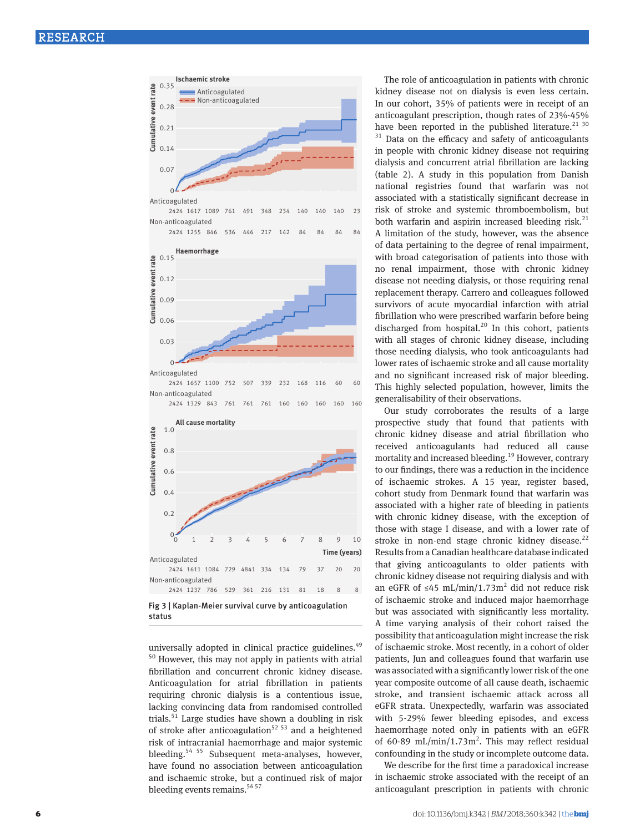

status

universally adopted in clinical practice guidelines.<sup>49</sup> 50 However, this may not apply in patients with atrial fibrillation and concurrent chronic kidney disease. Anticoagulation for atrial fibrillation in patients requiring chronic dialysis is a contentious issue, lacking convincing data from randomised controlled trials.<sup>51</sup> Large studies have shown a doubling in risk of stroke after anticoagulation<sup>52 53</sup> and a heightened risk of intracranial haemorrhage and major systemic bleeding.<sup>54 55</sup> Subsequent meta-analyses, however, have found no association between anticoagulation and ischaemic stroke, but a continued risk of major bleeding events remains.<sup>56 57</sup>

The role of anticoagulation in patients with chronic kidney disease not on dialysis is even less certain. In our cohort, 35% of patients were in receipt of an anticoagulant prescription, though rates of 23%-45% have been reported in the published literature.<sup>21 30</sup>

 $31$  Data on the efficacy and safety of anticoagulants in people with chronic kidney disease not requiring dialysis and concurrent atrial fibrillation are lacking (table 2). A study in this population from Danish national registries found that warfarin was not associated with a statistically significant decrease in risk of stroke and systemic thromboembolism, but both warfarin and aspirin increased bleeding risk. $^{21}$ A limitation of the study, however, was the absence of data pertaining to the degree of renal impairment, with broad categorisation of patients into those with no renal impairment, those with chronic kidney disease not needing dialysis, or those requiring renal replacement therapy. Carrero and colleagues followed survivors of acute myocardial infarction with atrial fibrillation who were prescribed warfarin before being discharged from hospital. $^{20}$  In this cohort, patients with all stages of chronic kidney disease, including those needing dialysis, who took anticoagulants had lower rates of ischaemic stroke and all cause mortality and no significant increased risk of major bleeding. This highly selected population, however, limits the generalisability of their observations.

Our study corroborates the results of a large prospective study that found that patients with chronic kidney disease and atrial fibrillation who received anticoagulants had reduced all cause mortality and increased bleeding.<sup>19</sup> However, contrary to our findings, there was a reduction in the incidence of ischaemic strokes. A 15 year, register based, cohort study from Denmark found that warfarin was associated with a higher rate of bleeding in patients with chronic kidney disease, with the exception of those with stage I disease, and with a lower rate of stroke in non-end stage chronic kidney disease. $^{22}$ Results from a Canadian healthcare database indicated that giving anticoagulants to older patients with chronic kidney disease not requiring dialysis and with an eGFR of ≤45 mL/min/1.73m<sup>2</sup> did not reduce risk of ischaemic stroke and induced major haemorrhage but was associated with significantly less mortality. A time varying analysis of their cohort raised the possibility that anticoagulation might increase the risk of ischaemic stroke. Most recently, in a cohort of older patients, Jun and colleagues found that warfarin use was associated with a significantly lower risk of the one year composite outcome of all cause death, ischaemic stroke, and transient ischaemic attack across all eGFR strata. Unexpectedly, warfarin was associated with 5-29% fewer bleeding episodes, and excess haemorrhage noted only in patients with an eGFR of 60-89 mL/min/1.73 $m^2$ . This may reflect residual confounding in the study or incomplete outcome data.

We describe for the first time a paradoxical increase in ischaemic stroke associated with the receipt of an anticoagulant prescription in patients with chronic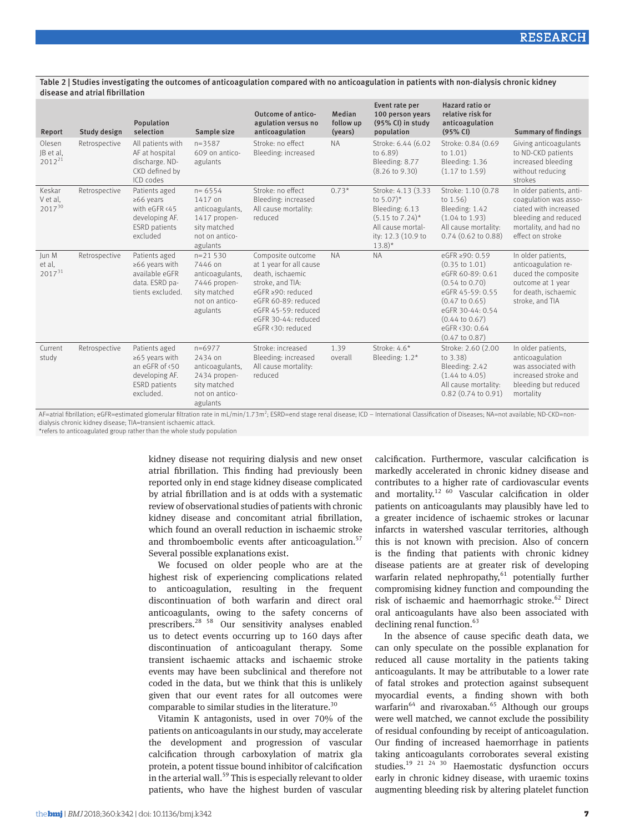#### Table 2 | Studies investigating the outcomes of anticoagulation compared with no anticoagulation in patients with non-dialysis chronic kidney disease and atrial fibrillation

| Report                             | Study design  | Population<br>selection                                                                                       | Sample size                                                                                            | Outcome of antico-<br>agulation versus no<br>anticoagulation                                                                                                                                        | Median<br>follow up<br>(years) | Event rate per<br>100 person years<br>(95% CI) in study<br>population                                                                                            | Hazard ratio or<br>relative risk for<br>anticoagulation<br>(95% CI)                                                                                                                                                                            | <b>Summary of findings</b>                                                                                                                      |
|------------------------------------|---------------|---------------------------------------------------------------------------------------------------------------|--------------------------------------------------------------------------------------------------------|-----------------------------------------------------------------------------------------------------------------------------------------------------------------------------------------------------|--------------------------------|------------------------------------------------------------------------------------------------------------------------------------------------------------------|------------------------------------------------------------------------------------------------------------------------------------------------------------------------------------------------------------------------------------------------|-------------------------------------------------------------------------------------------------------------------------------------------------|
| Olesen<br>JB et al.<br>$2012^{21}$ | Retrospective | All patients with<br>AF at hospital<br>discharge. ND-<br>CKD defined by<br>ICD codes                          | $n = 3587$<br>609 on antico-<br>agulants                                                               | Stroke: no effect<br>Bleeding: increased                                                                                                                                                            | <b>NA</b>                      | Stroke: 6.44 (6.02)<br>to 6.89)<br>Bleeding: 8.77<br>$(8.26 \text{ to } 9.30)$                                                                                   | Stroke: 0.84 (0.69<br>to $1.01$ )<br>Bleeding: 1.36<br>$(1.17 \text{ to } 1.59)$                                                                                                                                                               | Giving anticoagulants<br>to ND-CKD patients<br>increased bleeding<br>without reducing<br>strokes                                                |
| Keskar<br>V et al.<br>201730       | Retrospective | Patients aged<br>$≥66$ years<br>with eGFR <45<br>developing AF.<br><b>ESRD</b> patients<br>excluded           | $n = 6554$<br>1417 on<br>anticoagulants.<br>1417 propen-<br>sity matched<br>not on antico-<br>agulants | Stroke: no effect<br>Bleeding: increased<br>All cause mortality:<br>reduced                                                                                                                         | $0.73*$                        | Stroke: 4.13 (3.33)<br>to $5.07$ <sup>*</sup><br>Bleeding: 6.13<br>$(5.15 \text{ to } 7.24)^*$<br>All cause mortal-<br>ity: 12.3 (10.9 to<br>$13.8$ <sup>*</sup> | Stroke: 1.10 (0.78<br>to $1.56$ )<br>Bleeding: 1.42<br>$(1.04 \text{ to } 1.93)$<br>All cause mortality:<br>0.74 (0.62 to 0.88)                                                                                                                | In older patients, anti-<br>coagulation was asso-<br>ciated with increased<br>bleeding and reduced<br>mortality, and had no<br>effect on stroke |
| Jun M<br>et al,<br>$2017^{31}$     | Retrospective | Patients aged<br>≥66 years with<br>available eGFR<br>data. ESRD pa-<br>tients excluded.                       | $n=21530$<br>7446 on<br>anticoagulants,<br>7446 propen-<br>sity matched<br>not on antico-<br>agulants  | Composite outcome<br>at 1 year for all cause<br>death, ischaemic<br>stroke, and TIA:<br>eGFR ≥90: reduced<br>eGFR 60-89: reduced<br>eGFR 45-59: reduced<br>eGFR 30-44: reduced<br>eGFR <30: reduced | <b>NA</b>                      | <b>NA</b>                                                                                                                                                        | eGFR ≥ 90: 0.59<br>$(0.35 \text{ to } 1.01)$<br>eGFR 60-89: 0.61<br>$(0.54 \text{ to } 0.70)$<br>eGFR 45-59: 0.55<br>$(0.47 \text{ to } 0.65)$<br>eGFR 30-44: 0.54<br>$(0.44 \text{ to } 0.67)$<br>eGFR <30: 0.64<br>$(0.47 \text{ to } 0.87)$ | In older patients,<br>anticoagulation re-<br>duced the composite<br>outcome at 1 year<br>for death, ischaemic<br>stroke, and TIA                |
| Current<br>study                   | Retrospective | Patients aged<br>$\ge 65$ years with<br>an eGFR of <50<br>developing AF.<br><b>ESRD</b> patients<br>excluded. | $n=6977$<br>2434 on<br>anticoagulants,<br>2434 propen-<br>sity matched<br>not on antico-<br>agulants   | Stroke: increased<br>Bleeding: increased<br>All cause mortality:<br>reduced                                                                                                                         | 1.39<br>overall                | Stroke: $4.6*$<br>Bleeding: $1.2*$                                                                                                                               | Stroke: 2.60 (2.00<br>to 3.38)<br>Bleeding: 2.42<br>$(1.44 \text{ to } 4.05)$<br>All cause mortality:<br>$0.82$ (0.74 to 0.91)                                                                                                                 | In older patients,<br>anticoagulation<br>was associated with<br>increased stroke and<br>bleeding but reduced<br>mortality                       |

AF=atrial fibrillation; eGFR=estimated glomerular filtration rate in mL/min/1.73m<sup>2</sup>; ESRD=end stage renal disease; ICD – International Classification of Diseases; NA=not available; ND-CKD=nondialysis chronic kidney disease; TIA=transient ischaemic attack.

\*refers to anticoagulated group rather than the whole study population

kidney disease not requiring dialysis and new onset atrial fibrillation. This finding had previously been reported only in end stage kidney disease complicated by atrial fibrillation and is at odds with a systematic review of observational studies of patients with chronic kidney disease and concomitant atrial fibrillation, which found an overall reduction in ischaemic stroke and thromboembolic events after anticoagulation.<sup>57</sup> Several possible explanations exist.

We focused on older people who are at the highest risk of experiencing complications related to anticoagulation, resulting in the frequent discontinuation of both warfarin and direct oral anticoagulants, owing to the safety concerns of prescribers.28 58 Our sensitivity analyses enabled us to detect events occurring up to 160 days after discontinuation of anticoagulant therapy. Some transient ischaemic attacks and ischaemic stroke events may have been subclinical and therefore not coded in the data, but we think that this is unlikely given that our event rates for all outcomes were comparable to similar studies in the literature.<sup>30</sup>

Vitamin K antagonists, used in over 70% of the patients on anticoagulants in our study, may accelerate the development and progression of vascular calcification through carboxylation of matrix gla protein, a potent tissue bound inhibitor of calcification in the arterial wall.<sup>59</sup> This is especially relevant to older patients, who have the highest burden of vascular calcification. Furthermore, vascular calcification is markedly accelerated in chronic kidney disease and contributes to a higher rate of cardiovascular events and mortality.<sup>12 60</sup> Vascular calcification in older patients on anticoagulants may plausibly have led to a greater incidence of ischaemic strokes or lacunar infarcts in watershed vascular territories, although this is not known with precision. Also of concern is the finding that patients with chronic kidney disease patients are at greater risk of developing warfarin related nephropathy, $61$  potentially further compromising kidney function and compounding the risk of ischaemic and haemorrhagic stroke.<sup>62</sup> Direct oral anticoagulants have also been associated with declining renal function.<sup>63</sup>

In the absence of cause specific death data, we can only speculate on the possible explanation for reduced all cause mortality in the patients taking anticoagulants. It may be attributable to a lower rate of fatal strokes and protection against subsequent myocardial events, a finding shown with both warfarin<sup>64</sup> and rivaroxaban.<sup>65</sup> Although our groups were well matched, we cannot exclude the possibility of residual confounding by receipt of anticoagulation. Our finding of increased haemorrhage in patients taking anticoagulants corroborates several existing studies.<sup>19</sup> <sup>21</sup> <sup>24</sup> <sup>30</sup> Haemostatic dysfunction occurs early in chronic kidney disease, with uraemic toxins augmenting bleeding risk by altering platelet function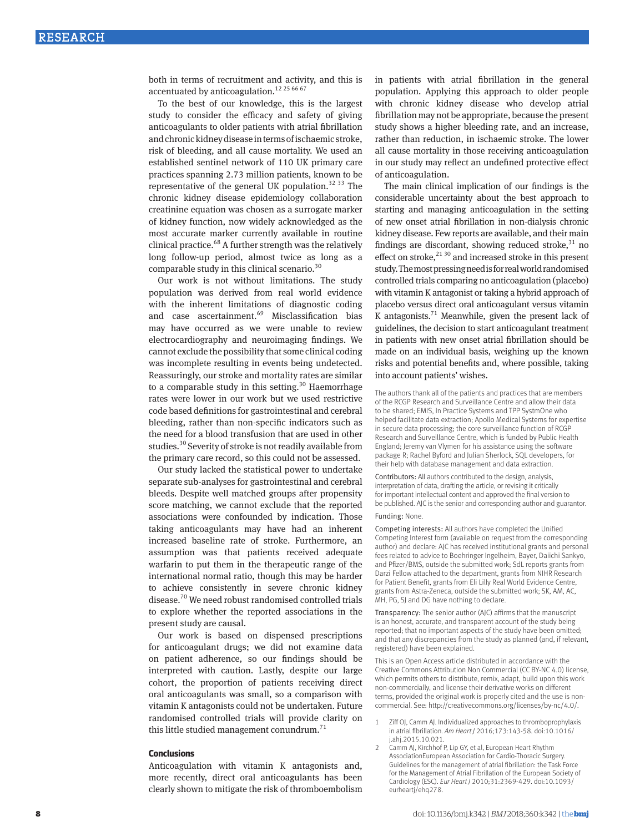both in terms of recruitment and activity, and this is accentuated by anticoagulation.<sup>12 25 66 67</sup>

To the best of our knowledge, this is the largest study to consider the efficacy and safety of giving anticoagulants to older patients with atrial fibrillation and chronic kidney disease in terms of ischaemic stroke, risk of bleeding, and all cause mortality. We used an established sentinel network of 110 UK primary care practices spanning 2.73 million patients, known to be representative of the general UK population.<sup>32 33</sup> The chronic kidney disease epidemiology collaboration creatinine equation was chosen as a surrogate marker of kidney function, now widely acknowledged as the most accurate marker currently available in routine clinical practice.<sup>68</sup> A further strength was the relatively long follow-up period, almost twice as long as a comparable study in this clinical scenario.30

Our work is not without limitations. The study population was derived from real world evidence with the inherent limitations of diagnostic coding and case ascertainment.<sup>69</sup> Misclassification bias may have occurred as we were unable to review electrocardiography and neuroimaging findings. We cannot exclude the possibility that some clinical coding was incomplete resulting in events being undetected. Reassuringly, our stroke and mortality rates are similar to a comparable study in this setting.<sup>30</sup> Haemorrhage rates were lower in our work but we used restrictive code based definitions for gastrointestinal and cerebral bleeding, rather than non-specific indicators such as the need for a blood transfusion that are used in other studies.<sup>30</sup> Severity of stroke is not readily available from the primary care record, so this could not be assessed.

Our study lacked the statistical power to undertake separate sub-analyses for gastrointestinal and cerebral bleeds. Despite well matched groups after propensity score matching, we cannot exclude that the reported associations were confounded by indication. Those taking anticoagulants may have had an inherent increased baseline rate of stroke. Furthermore, an assumption was that patients received adequate warfarin to put them in the therapeutic range of the international normal ratio, though this may be harder to achieve consistently in severe chronic kidney disease.70 We need robust randomised controlled trials to explore whether the reported associations in the present study are causal.

Our work is based on dispensed prescriptions for anticoagulant drugs; we did not examine data on patient adherence, so our findings should be interpreted with caution. Lastly, despite our large cohort, the proportion of patients receiving direct oral anticoagulants was small, so a comparison with vitamin K antagonists could not be undertaken. Future randomised controlled trials will provide clarity on this little studied management conundrum. $71$ 

#### **Conclusions**

Anticoagulation with vitamin K antagonists and, more recently, direct oral anticoagulants has been clearly shown to mitigate the risk of thromboembolism

in patients with atrial fibrillation in the general population. Applying this approach to older people with chronic kidney disease who develop atrial fibrillation may not be appropriate, because the present study shows a higher bleeding rate, and an increase, rather than reduction, in ischaemic stroke. The lower all cause mortality in those receiving anticoagulation in our study may reflect an undefined protective effect of anticoagulation.

The main clinical implication of our findings is the considerable uncertainty about the best approach to starting and managing anticoagulation in the setting of new onset atrial fibrillation in non-dialysis chronic kidney disease. Few reports are available, and their main findings are discordant, showing reduced stroke, $31$  no effect on stroke, $^{21\,30}$  and increased stroke in this present study. The most pressing need is for real world randomised controlled trials comparing no anticoagulation (placebo) with vitamin K antagonist or taking a hybrid approach of placebo versus direct oral anticoagulant versus vitamin K antagonists.<sup>71</sup> Meanwhile, given the present lack of guidelines, the decision to start anticoagulant treatment in patients with new onset atrial fibrillation should be made on an individual basis, weighing up the known risks and potential benefits and, where possible, taking into account patients' wishes.

The authors thank all of the patients and practices that are members of the RCGP Research and Surveillance Centre and allow their data to be shared; EMIS, In Practice Systems and TPP SystmOne who helped facilitate data extraction; Apollo Medical Systems for expertise in secure data processing; the core surveillance function of RCGP Research and Surveillance Centre, which is funded by Public Health England; Jeremy van Vlymen for his assistance using the software package R; Rachel Byford and Julian Sherlock, SQL developers, for their help with database management and data extraction.

Contributors: All authors contributed to the design, analysis, interpretation of data, drafting the article, or revising it critically for important intellectual content and approved the final version to be published. AJC is the senior and corresponding author and guarantor. Funding: None.

Competing interests: All authors have completed the Unified Competing Interest form (available on request from the corresponding author) and declare: AJC has received institutional grants and personal fees related to advice to Boehringer Ingelheim, Bayer, Daiichi Sankyo, and Pfizer/BMS, outside the submitted work; SdL reports grants from Darzi Fellow attached to the department, grants from NIHR Research for Patient Benefit, grants from Eli Lilly Real World Evidence Centre, grants from Astra-Zeneca, outside the submitted work; SK, AM, AC, MH, PG, SJ and DG have nothing to declare.

Transparency: The senior author (AJC) affirms that the manuscript is an honest, accurate, and transparent account of the study being reported; that no important aspects of the study have been omitted; and that any discrepancies from the study as planned (and, if relevant, registered) have been explained.

This is an Open Access article distributed in accordance with the Creative Commons Attribution Non Commercial (CC BY-NC 4.0) license, which permits others to distribute, remix, adapt, build upon this work non-commercially, and license their derivative works on different terms, provided the original work is properly cited and the use is noncommercial. See: http://creativecommons.org/licenses/by-nc/4.0/.

- 1 Ziff OJ, Camm AJ. Individualized approaches to thromboprophylaxis in atrial fibrillation. *Am Heart J* 2016;173:143-58. doi:10.1016/ j.ahj.2015.10.021.
- 2 Camm AJ, Kirchhof P, Lip GY, et al, European Heart Rhythm AssociationEuropean Association for Cardio-Thoracic Surgery. Guidelines for the management of atrial fibrillation: the Task Force for the Management of Atrial Fibrillation of the European Society of Cardiology (ESC). *Eur Heart J* 2010;31:2369-429. doi:10.1093/ eurheartj/ehq278.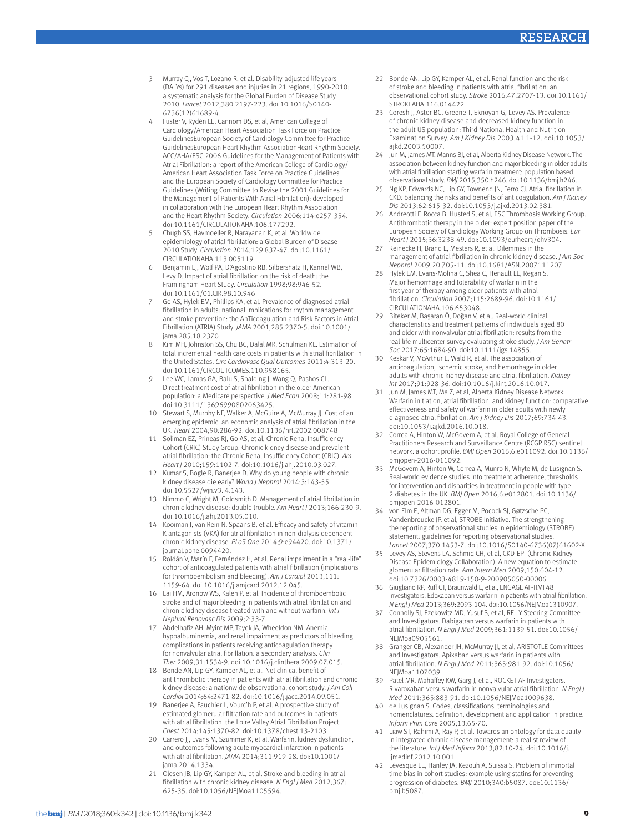- 3 Murray CJ, Vos T, Lozano R, et al. Disability-adjusted life years (DALYs) for 291 diseases and injuries in 21 regions, 1990-2010: a systematic analysis for the Global Burden of Disease Study 2010. *Lancet* 2012;380:2197-223. doi:10.1016/S0140- 6736(12)61689-4.
- 4 Fuster V, Rydén LE, Cannom DS, et al, American College of Cardiology/American Heart Association Task Force on Practice GuidelinesEuropean Society of Cardiology Committee for Practice GuidelinesEuropean Heart Rhythm AssociationHeart Rhythm Society. ACC/AHA/ESC 2006 Guidelines for the Management of Patients with Atrial Fibrillation: a report of the American College of Cardiology/ American Heart Association Task Force on Practice Guidelines and the European Society of Cardiology Committee for Practice Guidelines (Writing Committee to Revise the 2001 Guidelines for the Management of Patients With Atrial Fibrillation): developed in collaboration with the European Heart Rhythm Association and the Heart Rhythm Society. *Circulation* 2006;114:e257-354. doi:10.1161/CIRCULATIONAHA.106.177292.
- 5 Chugh SS, Havmoeller R, Narayanan K, et al. Worldwide epidemiology of atrial fibrillation: a Global Burden of Disease 2010 Study. *Circulation* 2014;129:837-47. doi:10.1161/ CIRCULATIONAHA.113.005119.
- 6 Benjamin EJ, Wolf PA, D'Agostino RB, Silbershatz H, Kannel WB, Levy D. Impact of atrial fibrillation on the risk of death: the Framingham Heart Study. *Circulation* 1998;98:946-52. doi:10.1161/01.CIR.98.10.946
- 7 Go AS, Hylek EM, Phillips KA, et al. Prevalence of diagnosed atrial fibrillation in adults: national implications for rhythm management and stroke prevention: the AnTicoagulation and Risk Factors in Atrial Fibrillation (ATRIA) Study. *JAMA* 2001;285:2370-5. doi:10.1001/ jama.285.18.2370
- 8 Kim MH, Johnston SS, Chu BC, Dalal MR, Schulman KL. Estimation of total incremental health care costs in patients with atrial fibrillation in the United States. *Circ Cardiovasc Qual Outcomes* 2011;4:313-20. doi:10.1161/CIRCOUTCOMES.110.958165.
- 9 Lee WC, Lamas GA, Balu S, Spalding J, Wang Q, Pashos CL. Direct treatment cost of atrial fibrillation in the older American population: a Medicare perspective. *J Med Econ* 2008;11:281-98. doi:10.3111/13696990802063425.
- 10 Stewart S, Murphy NF, Walker A, McGuire A, McMurray JJ. Cost of an emerging epidemic: an economic analysis of atrial fibrillation in the UK. *Heart* 2004;90:286-92. doi:10.1136/hrt.2002.008748
- 11 Soliman EZ, Prineas RJ, Go AS, et al, Chronic Renal Insufficiency Cohort (CRIC) Study Group. Chronic kidney disease and prevalent atrial fibrillation: the Chronic Renal Insufficiency Cohort (CRIC). *Am Heart J* 2010;159:1102-7. doi:10.1016/j.ahj.2010.03.027.
- 12 Kumar S, Bogle R, Banerjee D. Why do young people with chronic kidney disease die early? *World J Nephrol* 2014;3:143-55. doi:10.5527/wjn.v3.i4.143.
- 13 Nimmo C, Wright M, Goldsmith D. Management of atrial fibrillation in chronic kidney disease: double trouble. *Am Heart J* 2013;166:230-9. doi:10.1016/j.ahj.2013.05.010.
- 14 Kooiman J, van Rein N, Spaans B, et al. Efficacy and safety of vitamin K-antagonists (VKA) for atrial fibrillation in non-dialysis dependent chronic kidney disease. *PLoS One* 2014;9:e94420. doi:10.1371/ journal.pone.0094420.
- 15 Roldán V, Marín F, Fernández H, et al. Renal impairment in a "real-life" cohort of anticoagulated patients with atrial fibrillation (implications for thromboembolism and bleeding). *Am J Cardiol* 2013;111: 1159-64. doi:10.1016/j.amjcard.2012.12.045.
- 16 Lai HM, Aronow WS, Kalen P, et al. Incidence of thromboembolic stroke and of major bleeding in patients with atrial fibrillation and chronic kidney disease treated with and without warfarin. *Int J Nephrol Renovasc Dis* 2009;2:33-7.
- 17 Abdelhafiz AH, Myint MP, Tayek JA, Wheeldon NM. Anemia, hypoalbuminemia, and renal impairment as predictors of bleeding complications in patients receiving anticoagulation therapy for nonvalvular atrial fibrillation: a secondary analysis. *Clin Ther* 2009;31:1534-9. doi:10.1016/j.clinthera.2009.07.015.
- 18 Bonde AN, Lip GY, Kamper AL, et al. Net clinical benefit of antithrombotic therapy in patients with atrial fibrillation and chronic kidney disease: a nationwide observational cohort study. *J Am Coll Cardiol* 2014;64:2471-82. doi:10.1016/j.jacc.2014.09.051.
- 19 Banerjee A, Fauchier L, Vourc'h P, et al. A prospective study of estimated glomerular filtration rate and outcomes in patients with atrial fibrillation: the Loire Valley Atrial Fibrillation Project. *Chest* 2014;145:1370-82. doi:10.1378/chest.13-2103.
- 20 Carrero JJ, Evans M, Szummer K, et al. Warfarin, kidney dysfunction, and outcomes following acute myocardial infarction in patients with atrial fibrillation. *JAMA* 2014;311:919-28. doi:10.1001/ ama.2014.1334
- Olesen JB, Lip GY, Kamper AL, et al. Stroke and bleeding in atrial fibrillation with chronic kidney disease. *N Engl J Med* 2012;367: 625-35. doi:10.1056/NEJMoa1105594.
- 22 Bonde AN, Lip GY, Kamper AL, et al. Renal function and the risk of stroke and bleeding in patients with atrial fibrillation: an observational cohort study. *Stroke* 2016;47:2707-13. doi:10.1161/ STROKEAHA.116.014422.
- 23 Coresh J, Astor BC, Greene T, Eknoyan G, Levey AS. Prevalence of chronic kidney disease and decreased kidney function in the adult US population: Third National Health and Nutrition Examination Survey. *Am J Kidney Dis* 2003;41:1-12. doi:10.1053/ ajkd.2003.50007.
- 24 Jun M, James MT, Manns BJ, et al, Alberta Kidney Disease Network. The association between kidney function and major bleeding in older adults with atrial fibrillation starting warfarin treatment: population based observational study. *BMJ* 2015;350:h246. doi:10.1136/bmj.h246.
- 25 Ng KP, Edwards NC, Lip GY, Townend JN, Ferro CJ. Atrial fibrillation in CKD: balancing the risks and benefits of anticoagulation. *Am J Kidney Dis* 2013;62:615-32. doi:10.1053/j.ajkd.2013.02.381.
- 26 Andreotti F, Rocca B, Husted S, et al, ESC Thrombosis Working Group. Antithrombotic therapy in the older: expert position paper of the European Society of Cardiology Working Group on Thrombosis. *Eur Heart J* 2015;36:3238-49. doi:10.1093/eurheartj/ehv304.
- 27 Reinecke H, Brand E, Mesters R, et al. Dilemmas in the management of atrial fibrillation in chronic kidney disease. *J Am Soc Nephrol* 2009;20:705-11. doi:10.1681/ASN.2007111207.
- 28 Hylek EM, Evans-Molina C, Shea C, Henault LE, Regan S. Major hemorrhage and tolerability of warfarin in the first year of therapy among older patients with atrial fibrillation. *Circulation* 2007;115:2689-96. doi:10.1161/ CIRCULATIONAHA.106.653048.
- 29 Biteker M, Başaran Ö, Doğan V, et al. Real-world clinical characteristics and treatment patterns of individuals aged 80 and older with nonvalvular atrial fibrillation: results from the real-life multicenter survey evaluating stroke study. *J Am Geriatr Soc* 2017;65:1684-90. doi:10.1111/jgs.14855.
- 30 Keskar V, McArthur E, Wald R, et al. The association of anticoagulation, ischemic stroke, and hemorrhage in older adults with chronic kidney disease and atrial fibrillation. *Kidney Int* 2017;91:928-36. doi:10.1016/j.kint.2016.10.017.
- 31 Jun M, James MT, Ma Z, et al, Alberta Kidney Disease Network. Warfarin initiation, atrial fibrillation, and kidney function: comparative effectiveness and safety of warfarin in older adults with newly diagnosed atrial fibrillation. *Am J Kidney Dis* 2017;69:734-43. doi:10.1053/j.ajkd.2016.10.018.
- 32 Correa A, Hinton W, McGovern A, et al. Royal College of General Practitioners Research and Surveillance Centre (RCGP RSC) sentinel network: a cohort profile. *BMJ Open* 2016;6:e011092. doi:10.1136/ bmjopen-2016-011092.
- 33 McGovern A, Hinton W, Correa A, Munro N, Whyte M, de Lusignan S. Real-world evidence studies into treatment adherence, thresholds for intervention and disparities in treatment in people with type 2 diabetes in the UK. *BMJ Open* 2016;6:e012801. doi:10.1136/ bmjopen-2016-012801.
- 34 von Elm E, Altman DG, Egger M, Pocock SJ, Gøtzsche PC, Vandenbroucke JP, et al, STROBE Initiative. The strengthening the reporting of observational studies in epidemiology (STROBE) statement: guidelines for reporting observational studies. *Lancet* 2007;370:1453-7. doi:10.1016/S0140-6736(07)61602-X.
- 35 Levey AS, Stevens LA, Schmid CH, et al, CKD-EPI (Chronic Kidney Disease Epidemiology Collaboration). A new equation to estimate glomerular filtration rate. *Ann Intern Med* 2009;150:604-12. doi:10.7326/0003-4819-150-9-200905050-00006
- 36 Giugliano RP, Ruff CT, Braunwald E, et al, ENGAGE AF-TIMI 48 Investigators. Edoxaban versus warfarin in patients with atrial fibrillation. *N Engl J Med* 2013;369:2093-104. doi:10.1056/NEJMoa1310907.
- 37 Connolly SJ, Ezekowitz MD, Yusuf S, et al, RE-LY Steering Committee and Investigators. Dabigatran versus warfarin in patients with atrial fibrillation. *N Engl J Med* 2009;361:1139-51. doi:10.1056/ NEJMoa0905561.
- 38 Granger CB, Alexander JH, McMurray JJ, et al, ARISTOTLE Committees and Investigators. Apixaban versus warfarin in patients with atrial fibrillation. *N Engl J Med* 2011;365:981-92. doi:10.1056/ NEJMoa1107039.
- 39 Patel MR, Mahaffey KW, Garg J, et al, ROCKET AF Investigators. Rivaroxaban versus warfarin in nonvalvular atrial fibrillation. *N Engl J Med* 2011;365:883-91. doi:10.1056/NEJMoa1009638.
- 40 de Lusignan S. Codes, classifications, terminologies and nomenclatures: definition, development and application in practice. *Inform Prim Care* 2005;13:65-70.
- 41 Liaw ST, Rahimi A, Ray P, et al. Towards an ontology for data quality in integrated chronic disease management: a realist review of the literature. *Int J Med Inform* 2013;82:10-24. doi:10.1016/j. ijmedinf.2012.10.001.
- 42 Lévesque LE, Hanley JA, Kezouh A, Suissa S. Problem of immortal time bias in cohort studies: example using statins for preventing progression of diabetes. *BMJ* 2010;340:b5087. doi:10.1136/ bmj.b5087.